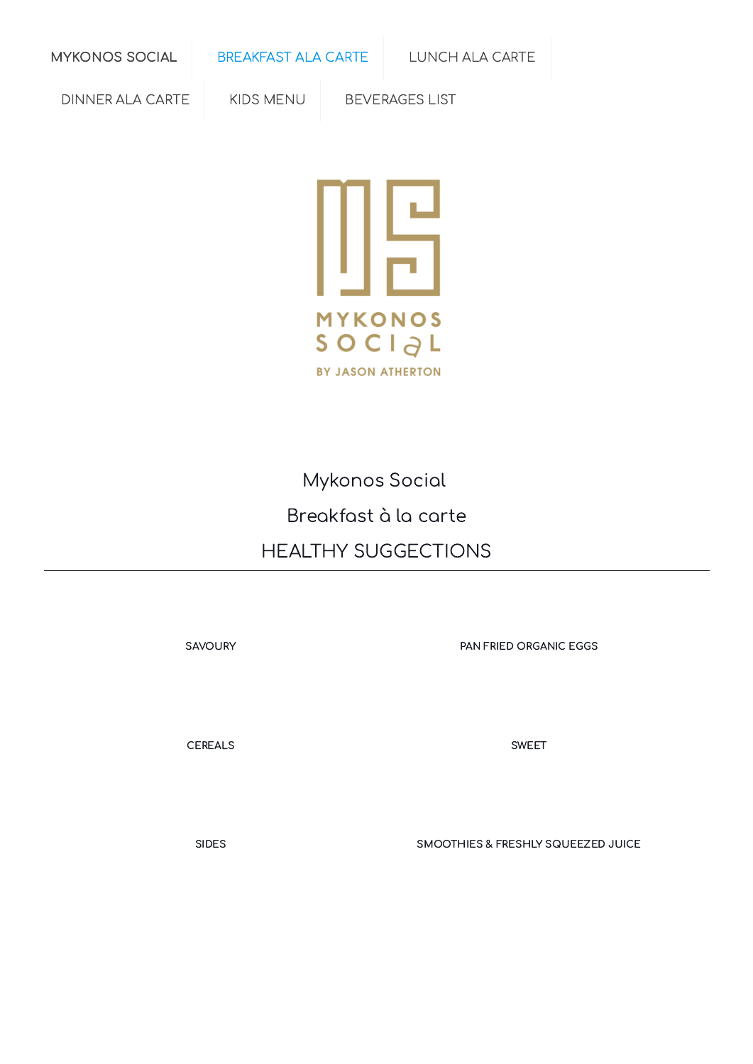[MYKONOS](https://online-menus.com/mykonos-social/) SOCIAL [BREAKFAST](https://online-menus.com/mykonos-social-breakfast/) ALA CARTE [LUNCH](https://online-menus.com/mykonos-social-lunch/) ALA CARTE

[DINNER](https://online-menus.com/mykonos-social-dinner-carte/) ALA CARTE | KIDS [MENU](https://online-menus.com/mykonos-social-kid-menu/) | [BEVERAGES](https://online-menus.com/mykonos-social-beverages-list-a/) LIST



# Mykonos Social Breakfast à la carte HEALTHY SUGGECTIONS

[SAVOURY](#page-1-0) **EXAMPLE SAVOURY** PAN FRIED [ORGANIC](#page-1-1) EGGS

[CEREALS](#page-2-0) [SWEET](#page-2-1)

[SIDES](#page-2-2) SIDES [SMOOTHIES](#page-3-0) & FRESHLY SQUEEZED JUICE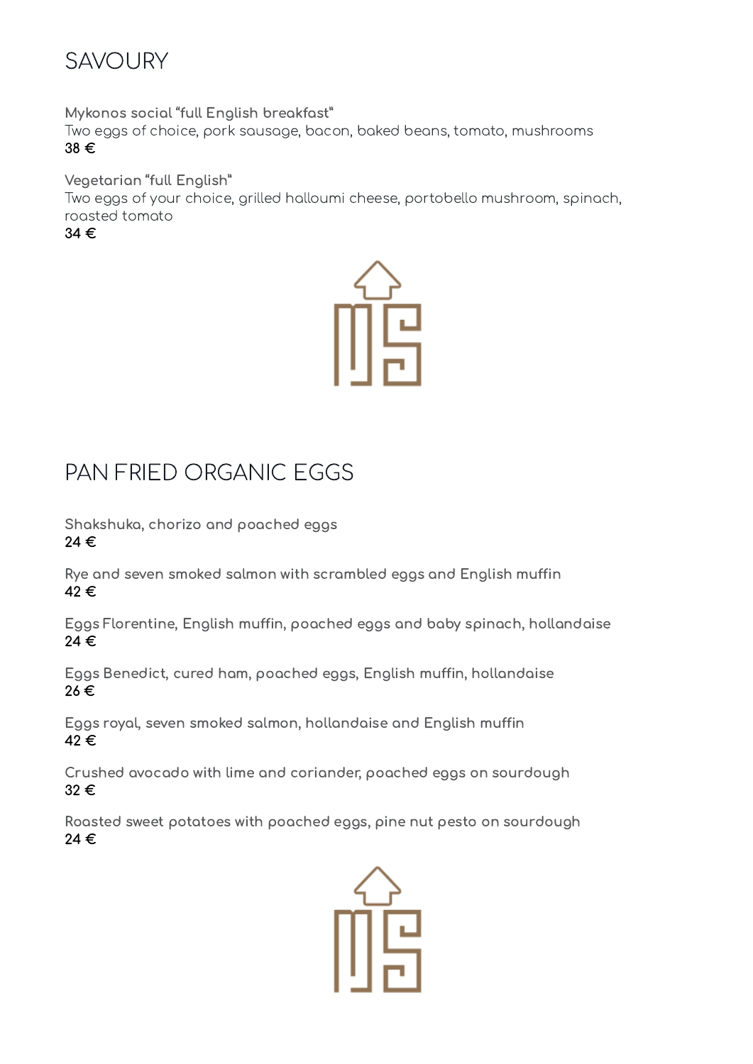<span id="page-1-0"></span>

Mykonos social "full English breakfast"

Two eggs of choice, pork sausage, bacon, baked beans, tomato, mushrooms 38 €

Vegetarian "full English"

Two eggs of your choice, grilled halloumi cheese, portobello mushroom, spinach, roasted tomato

34 €



## <span id="page-1-1"></span>PAN FRIED ORGANIC EGGS

Shakshuka, chorizo and poached eggs 24 €

Rye and seven smoked salmon with scrambled eggs and English muffin 42 €

Eggs Florentine, English muffin, poached eggs and baby spinach, hollandaise 24 €

Eggs Benedict, cured ham, poached eggs, English muffin, hollandaise 26 €

Eggs royal, seven smoked salmon, hollandaise and English muffin 42 €

Crushed avocado with lime and coriander, poached eggs on sourdough 32 €

Roasted sweet potatoes with poached eggs, pine nut pesto on sourdough 24 €

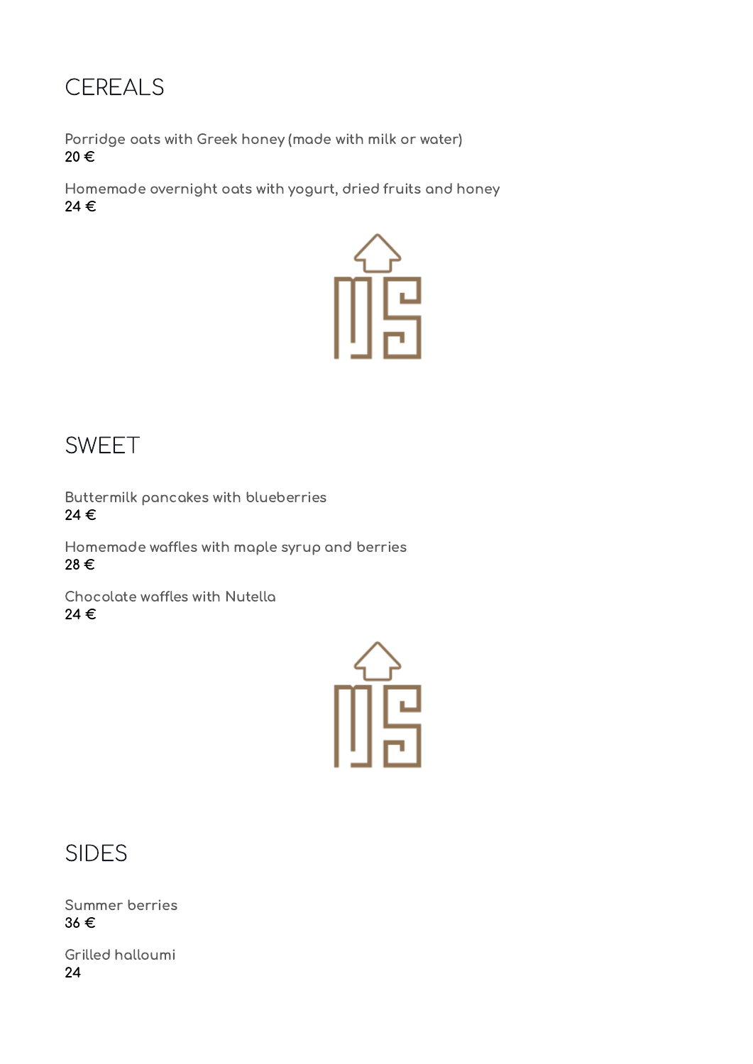### <span id="page-2-0"></span>**CEREALS**

Porridge oats with Greek honey (made with milk or water) 20 €

Homemade overnight oats with yogurt, dried fruits and honey 24 €



#### <span id="page-2-1"></span>SWEET

Buttermilk pancakes with blueberries 24 €

Homemade waffles with maple syrup and berries 28 €

Chocolate waffles with Nutella 24 €



<span id="page-2-2"></span>SIDES

Summer berries 36 €

Grilled halloumi 24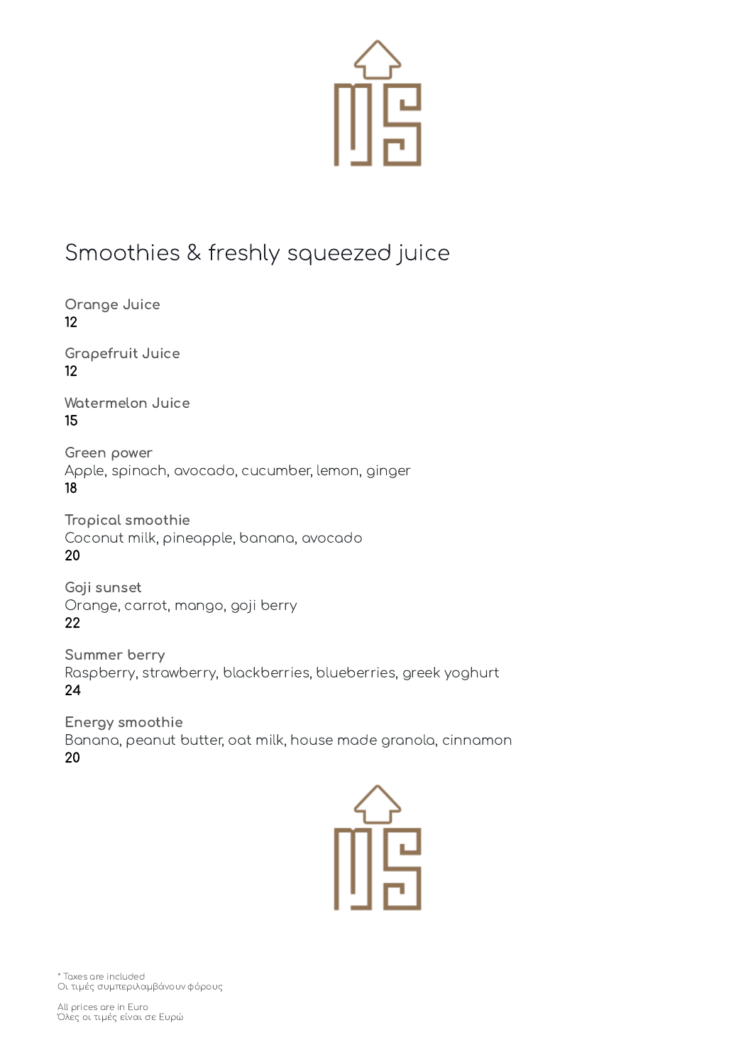

### <span id="page-3-0"></span>Smoothies & freshly squeezed juice

Orange Juice 12

Grapefruit Juice 12

Watermelon Juice 15

Green power Apple, spinach, avocado, cucumber, lemon, ginger 18

Tropical smoothie Coconut milk, pineapple, banana, avocado 20

Goji sunset Orange, carrot, mango, goji berry 22

Summer berry Raspberry, strawberry, blackberries, blueberries, greek yoghurt 24

Energy smoothie Banana, peanut butter, oat milk, house made granola, cinnamon 20



\* Taxes are included Οι τιμές συμπεριλαμβάνουν φόρους

All prices are in Euro Όλες οι τιμές είναι σε Ευρώ